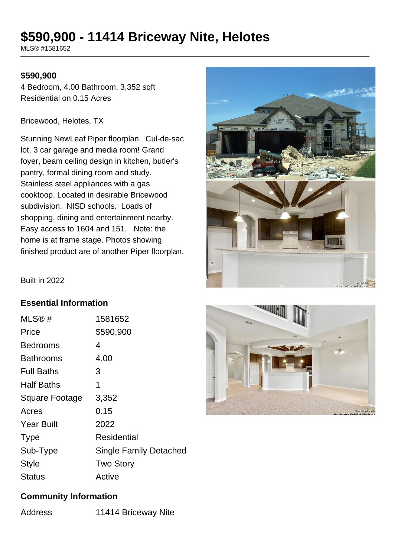# **\$590,900 - 11414 Briceway Nite, Helotes**

MLS® #1581652

#### **\$590,900**

4 Bedroom, 4.00 Bathroom, 3,352 sqft Residential on 0.15 Acres

Bricewood, Helotes, TX

Stunning NewLeaf Piper floorplan. Cul-de-sac lot, 3 car garage and media room! Grand foyer, beam ceiling design in kitchen, butler's pantry, formal dining room and study. Stainless steel appliances with a gas cooktoop. Located in desirable Bricewood subdivision. NISD schools. Loads of shopping, dining and entertainment nearby. Easy access to 1604 and 151. Note: the home is at frame stage. Photos showing finished product are of another Piper floorplan.



Built in 2022

### **Essential Information**

| MLS®#                 | 1581652                       |
|-----------------------|-------------------------------|
| Price                 | \$590,900                     |
| Bedrooms              | 4                             |
| <b>Bathrooms</b>      | 4.00                          |
| <b>Full Baths</b>     | З                             |
| <b>Half Baths</b>     | 1                             |
| <b>Square Footage</b> | 3,352                         |
| Acres                 | 0.15                          |
| <b>Year Built</b>     | 2022                          |
| <b>Type</b>           | Residential                   |
| Sub-Type              | <b>Single Family Detached</b> |
| Style                 | <b>Two Story</b>              |
| Status                | Active                        |



#### **Community Information**

Address 11414 Briceway Nite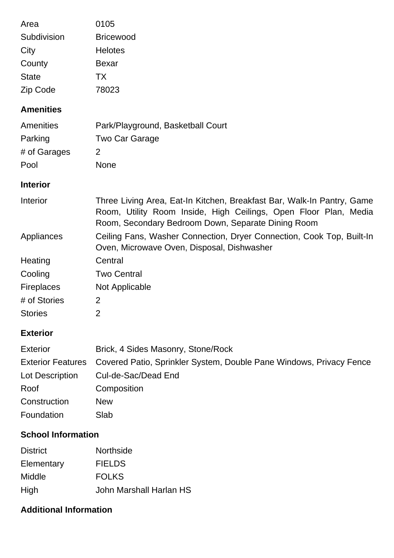| Area                      | 0105                                                                                                                                                                                             |
|---------------------------|--------------------------------------------------------------------------------------------------------------------------------------------------------------------------------------------------|
| Subdivision               | <b>Bricewood</b>                                                                                                                                                                                 |
| City                      | <b>Helotes</b>                                                                                                                                                                                   |
| County                    | <b>Bexar</b>                                                                                                                                                                                     |
| <b>State</b>              | <b>TX</b>                                                                                                                                                                                        |
| Zip Code                  | 78023                                                                                                                                                                                            |
| <b>Amenities</b>          |                                                                                                                                                                                                  |
| Amenities                 | Park/Playground, Basketball Court                                                                                                                                                                |
| Parking                   | Two Car Garage                                                                                                                                                                                   |
| # of Garages              | 2                                                                                                                                                                                                |
| Pool                      | <b>None</b>                                                                                                                                                                                      |
| <b>Interior</b>           |                                                                                                                                                                                                  |
| Interior                  | Three Living Area, Eat-In Kitchen, Breakfast Bar, Walk-In Pantry, Game<br>Room, Utility Room Inside, High Ceilings, Open Floor Plan, Media<br>Room, Secondary Bedroom Down, Separate Dining Room |
| Appliances                | Ceiling Fans, Washer Connection, Dryer Connection, Cook Top, Built-In<br>Oven, Microwave Oven, Disposal, Dishwasher                                                                              |
| Heating                   | Central                                                                                                                                                                                          |
| Cooling                   | <b>Two Central</b>                                                                                                                                                                               |
| <b>Fireplaces</b>         | Not Applicable                                                                                                                                                                                   |
| # of Stories              | 2                                                                                                                                                                                                |
| <b>Stories</b>            | 2                                                                                                                                                                                                |
| <b>Exterior</b>           |                                                                                                                                                                                                  |
| <b>Exterior</b>           | Brick, 4 Sides Masonry, Stone/Rock                                                                                                                                                               |
| <b>Exterior Features</b>  | Covered Patio, Sprinkler System, Double Pane Windows, Privacy Fence                                                                                                                              |
| Lot Description           | Cul-de-Sac/Dead End                                                                                                                                                                              |
| Roof                      | Composition                                                                                                                                                                                      |
| Construction              | <b>New</b>                                                                                                                                                                                       |
| Foundation                | Slab                                                                                                                                                                                             |
| <b>School Information</b> |                                                                                                                                                                                                  |
| <b>District</b>           | Northside                                                                                                                                                                                        |
| Elementary                | <b>FIELDS</b>                                                                                                                                                                                    |
| Middle                    | <b>FOLKS</b>                                                                                                                                                                                     |
| High                      | John Marshall Harlan HS                                                                                                                                                                          |

## **Additional Information**